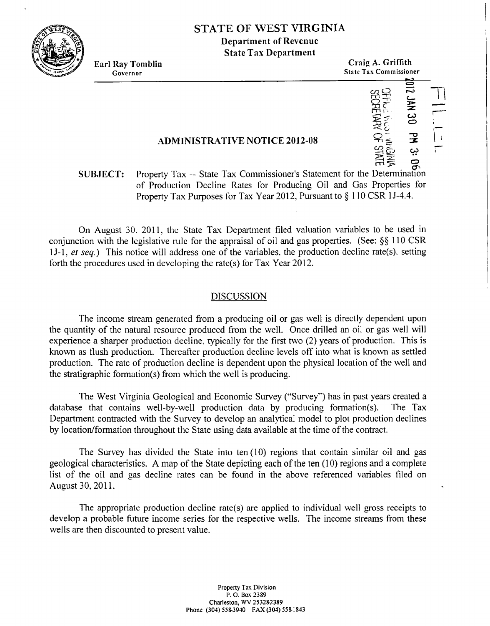

# **STATE OF \VEST VIRGINIA**

**Department of Revenue State Tax Department** 

**Earl Ray Tomblin** Craig A. Griffith **Governor State Tax Conin~issioner** -. **0**  mo n<br>
1975<br>
1975<br>
1975<br>
1975<br>
1975<br>
1975<br>
1975<br>
1975<br>
1975<br>
1975<br>
1975<br>
1975<br>
1975<br>
1975<br>
1975<br>
1975<br>
1975<br>
1975<br>
1975<br>
1975<br>
1975<br>
1975<br>
1975<br>
1975<br>
1975<br>
1975<br>
1975<br>
1975<br>
1975<br>
1975<br>
1975<br>
1975<br>
1975<br>
1975<br>
1975<br>
1975<br>
197 **<sup>P</sup>**- **9%** <sup>=</sup> **1**<br>**CHELLA 30**<br>**PIR 30**<br>**PIR 30**<br>**PIR 2014**<br>**PIRE ARE ARE A** 

**08 Nd 08 NVC** 

n= - **z** I1 - **3 CJ** 4? %z

 $\frac{1}{\sqrt{2}}$ 

;

# **ADMINISTRATIVE NOTICE 2012-08** 0,

## m **-P** 4\ **SUBJECT:** Property Tax -- State Tax Commissioner's Statement for the Determination of Production Decline Rates for Producing Oil and Gas Properties for Property Tax Purposes for Tax Year 2012, Pursuant to  $\S$  110 CSR 1J-4.4.

On August 30. 2011, the State Tax Department filed valuation variables to be used in conjunction with the legislative rule for the appraisal of oil and gas properties. (See:  $\S$  $\S$  110 CSR 1 J-1, *er seq.)* This notice will address one of the variables. the production decline rate(s), setting forth the procedures used in developing the rate(s) for Tax Year 2012.

### DISCUSSION

The income stream generated from a producing oil or gas well is directly dependent upon the quantity of the natural resource produced from the well. Once drilled an oil or gas well will experience a sharper production decline. typically for the first two (2) years of production. This is known as flush production. Thereafter production decline levels off into what is known as settled production. The rate of production decline is dependent upon the physical location of the well and the stratigraphic formation(s) from which the well is producing.

The West Virginia Geological and Economic Survey ("Survey") has in past years created a database that contains well-by-well production data by producing formation(s). The Tax Department contracted with the Survey to develop an analytical model to plot production declines by location/fonnation throughout the State using data available at the time of the contract.

The Survey has divided the State into ten  $(10)$  regions that contain similar oil and gas geological characteristics. A map of the State depicting each of the ten  $(10)$  regions and a complete list of the oil and gas decline rates can be found in the above referenced variables filed on August 30,2011.

The appropriate production decline rate(s) are applied to individual well gross receipts to develop a probable future income series for the respective wells. The income streams fiom these wells are then discounted to present value.

> **Property** Tax **Division P.** 0. **Box 2389 Charleston, WV 253282389 Phone (304) 5583940 FAX (303) 5581843**